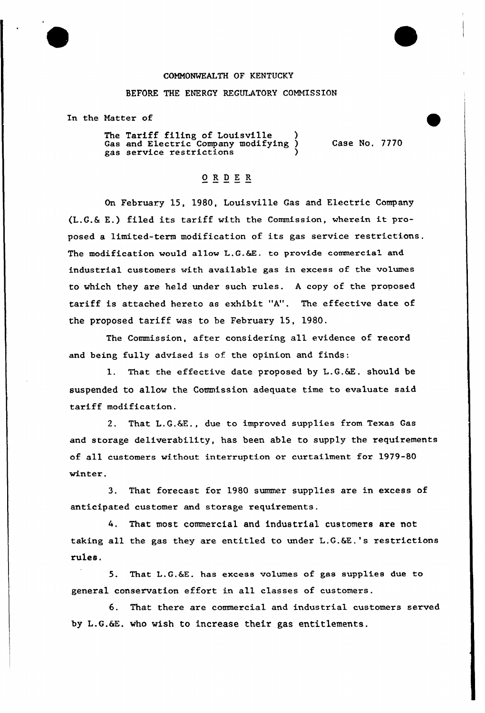## COMMONWEALTH OF KENTUCKY

## BEFORE THE ENERGY REGULATORY COMMISSION

In the Matter of

The Tariff filing of Louisville Gas and Electxic Company modifying ) gas service restrictions )

Case No. 7770

## ORDER

On February 15, 1980, Louisville Gas and Electric Company (L.G.6 E.) filed its tariff with the Commission, wherein it proposed a limited-term modification of its gas service restrictions. The modification would allow L.G.&E. to provide commercial and industrial customers with available gas in excess of the volumes to which they are held under such rules. <sup>A</sup> copy of the proposed tariff is attached hereto as exhibit "A", The effective date of the proposed tariff was to be February 1S, 1980.

The Commission, after considering all evidence of record and being fully advised is of the opinion and finds:

1. That the effective date proposed by L.G.&E. should be suspended to allow the Commission adequate time to evaluate said tariff modification.

2. That L.G.&E., due to improved supplies from Texas Gas and storage deliverabi1ity, has been able to supply the requirements of all customers without interruption or curtailment for 1979-80 winter.

3. That forecast for 1980 summer supplies are in excess of anticipated customer and storage requirements.

4. That most commercial and industrial customers are not taking all the gas they are entitled to under L.G.&E.'s restrictions rules.

5. That L.G.&E. has excess volumes of gas supplies due to general conservation effort in all classes of customers.

6. That there are commercial and industrial customers served by L.G.6E. who wish to increase their gas entitlements.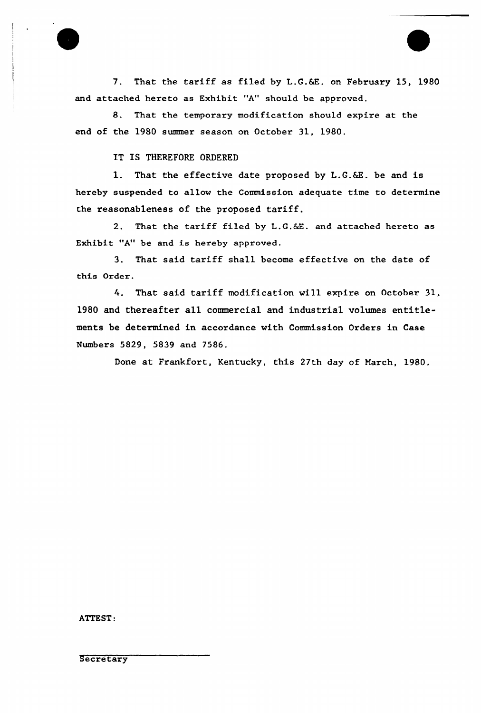7. That the tariff as filed by L.G.&E. on February 15, 1980 and attached hereto as Exhibit "A" should be approved.

8. That the temporary modification should expire at the end of the 1980 summer season on October 31, 1980.

IT IS THEREFORE ORDERED

1. That the effective date proposed by L.G.6Z. be and is hereby suspended to allow the Commission adequate time to determine the reasonableness of the proposed tariff.

2. That the tariff filed by L.G.&E. and attached hereto as Exhibit "A" be and is hereby approved.

3. That said tariff sha11 become effective on the date of this Order.

4. That said tariff modification will expire on October 31, 1980 and thereafter all commercial and industrial volumes entitlements be determined in accordance with Commission Orders in Case Numbers 5829, 5839 and 7586.

Done at Frankfort, Kentucky, this 27th day of March, 1980.

ATTEST:

**Secretary**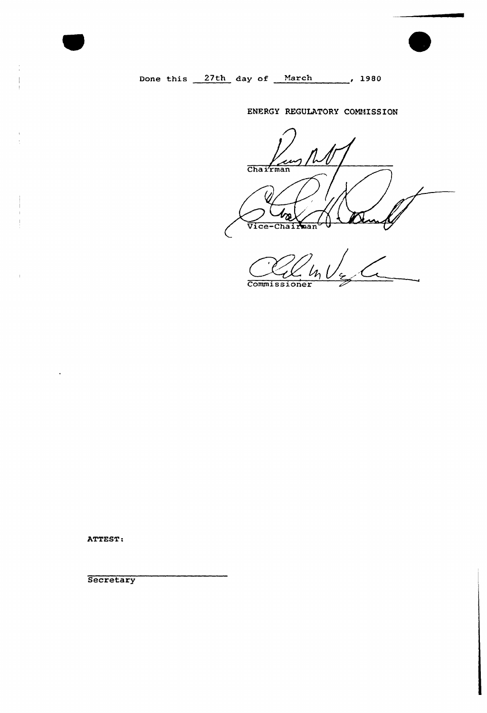Done this 27th day of March 1980

## ENERGY REGULATORY COMMISSION

 $\frac{1}{\text{Chairman}}$ bæ Vice-Chairman

 $\sqrt{2}$ Commissioner

ATTEST:

 $\bar{A}$ 

**Secretary**